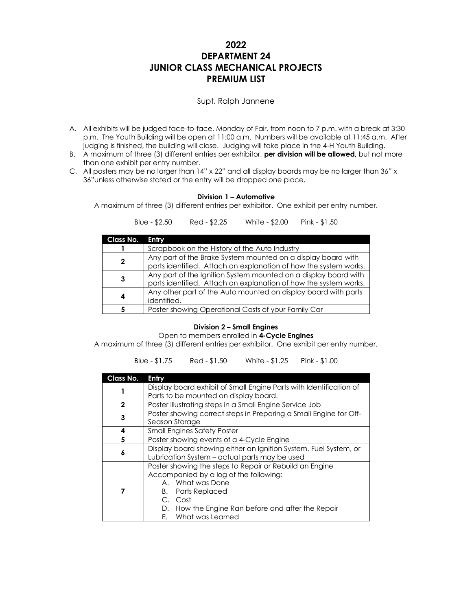# **2022 DEPARTMENT 24 JUNIOR CLASS MECHANICAL PROJECTS PREMIUM LIST**

# Supt. Ralph Jannene

- A. All exhibits will be judged face-to-face, Monday of Fair, from noon to 7 p.m. with a break at 3:30 p.m. The Youth Building will be open at 11:00 a.m. Numbers will be available at 11:45 a.m. After judging is finished, the building will close. Judging will take place in the 4-H Youth Building.
- B. A maximum of three (3) different entries per exhibitor, **per division will be allowed,** but not more than one exhibit per entry number.
- C. All posters may be no larger than 14" x 22" and all display boards may be no larger than 36" x 36"unless otherwise stated or the entry will be dropped one place.

## **Division 1 – Automotive**

A maximum of three (3) different entries per exhibitor. One exhibit per entry number.

Blue - \$2.50 Red - \$2.25 White - \$2.00 Pink - \$1.50

| Class No. | Entry                                                            |  |
|-----------|------------------------------------------------------------------|--|
|           | Scrapbook on the History of the Auto Industry                    |  |
| 2         | Any part of the Brake System mounted on a display board with     |  |
|           | parts identified. Attach an explanation of how the system works. |  |
| 3         | Any part of the Ignition System mounted on a display board with  |  |
|           | parts identified. Attach an explanation of how the system works. |  |
|           | Any other part of the Auto mounted on display board with parts   |  |
| 4         | identified.                                                      |  |
|           | Poster showing Operational Costs of your Family Car              |  |

# **Division 2 – Small Engines**

Open to members enrolled in **4-Cycle Engines**

A maximum of three (3) different entries per exhibitor. One exhibit per entry number.

Blue - \$1.75 Red - \$1.50 White - \$1.25 Pink - \$1.00

| Class No.   | Entry                                                                                                                                                                                                                                    |  |  |
|-------------|------------------------------------------------------------------------------------------------------------------------------------------------------------------------------------------------------------------------------------------|--|--|
|             | Display board exhibit of Small Engine Parts with Identification of<br>Parts to be mounted on display board.                                                                                                                              |  |  |
| $\mathbf 2$ | Poster illustrating steps in a Small Engine Service Job                                                                                                                                                                                  |  |  |
| 3           | Poster showing correct steps in Preparing a Small Engine for Off-<br>Season Storage                                                                                                                                                      |  |  |
| 4           | <b>Small Engines Safety Poster</b>                                                                                                                                                                                                       |  |  |
| 5           | Poster showing events of a 4-Cycle Engine                                                                                                                                                                                                |  |  |
| 6           | Display board showing either an Ignition System, Fuel System, or<br>Lubrication System – actual parts may be used                                                                                                                        |  |  |
| 7           | Poster showing the steps to Repair or Rebuild an Engine<br>Accompanied by a log of the following:<br>A. What was Done<br><b>B.</b> Parts Replaced<br>C. Cost<br>How the Engine Ran before and after the Repair<br>D.<br>What was Learned |  |  |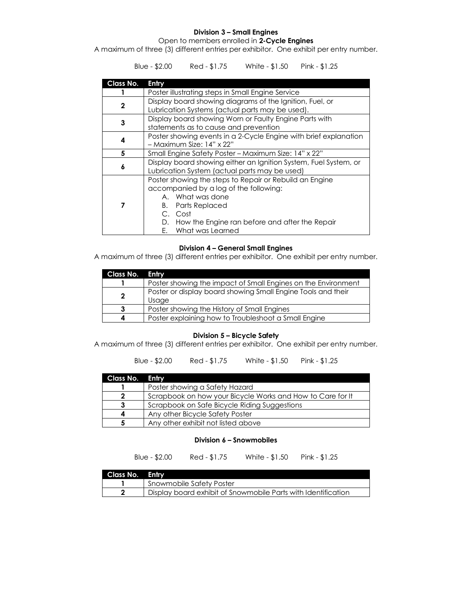# **Division 3 – Small Engines**

Open to members enrolled in **2-Cycle Engines**

A maximum of three (3) different entries per exhibitor. One exhibit per entry number.

Blue - \$2.00 Red - \$1.75 White - \$1.50 Pink - \$1.25

| Class No.   | <b>Entry</b>                                                                                                |  |
|-------------|-------------------------------------------------------------------------------------------------------------|--|
|             | Poster illustrating steps in Small Engine Service                                                           |  |
| $\mathbf 2$ | Display board showing diagrams of the Ignition, Fuel, or<br>Lubrication Systems (actual parts may be used). |  |
|             |                                                                                                             |  |
| 3           | Display board showing Worn or Faulty Engine Parts with                                                      |  |
|             | statements as to cause and prevention                                                                       |  |
|             | Poster showing events in a 2-Cycle Engine with brief explanation                                            |  |
| 4           | - Maximum Size: 14" x 22"                                                                                   |  |
| 5           | Small Engine Safety Poster – Maximum Size: 14" x 22"                                                        |  |
|             | Display board showing either an Ignition System, Fuel System, or                                            |  |
| 6           | Lubrication System (actual parts may be used)                                                               |  |
| 7           | Poster showing the steps to Repair or Rebuild an Engine                                                     |  |
|             | accompanied by a log of the following:                                                                      |  |
|             | A. What was done                                                                                            |  |
|             | <b>B.</b> Parts Replaced                                                                                    |  |
|             | C. Cost                                                                                                     |  |
|             |                                                                                                             |  |
|             | D. How the Engine ran before and after the Repair                                                           |  |
|             | E. What was Learned                                                                                         |  |

#### **Division 4 – General Small Engines**

A maximum of three (3) different entries per exhibitor. One exhibit per entry number.

| Class No.    | <b>Enlry</b>                                                          |  |
|--------------|-----------------------------------------------------------------------|--|
|              | Poster showing the impact of Small Engines on the Environment         |  |
| $\mathbf{2}$ | Poster or display board showing Small Engine Tools and their<br>Usaae |  |
| 3            | Poster showing the History of Small Engines                           |  |
|              | Poster explaining how to Troubleshoot a Small Engine                  |  |

#### **Division 5 – Bicycle Safety**

A maximum of three (3) different entries per exhibitor. One exhibit per entry number.

Blue - \$2.00 Red - \$1.75 White - \$1.50 Pink - \$1.25

| Class No. Entry |                                                            |  |
|-----------------|------------------------------------------------------------|--|
|                 | Poster showing a Safety Hazard                             |  |
|                 | Scrapbook on how your Bicycle Works and How to Care for It |  |
|                 | Scrapbook on Safe Bicycle Riding Suggestions               |  |
|                 | Any other Bicycle Safety Poster                            |  |
|                 | Any other exhibit not listed above                         |  |

## **Division 6 – Snowmobiles**

Blue - \$2.00 Red - \$1.75 White - \$1.50 Pink - \$1.25

| Class No. Entry |                                                               |
|-----------------|---------------------------------------------------------------|
|                 | <b>Snowmobile Safety Poster</b>                               |
| - 2             | Display board exhibit of Snowmobile Parts with Identification |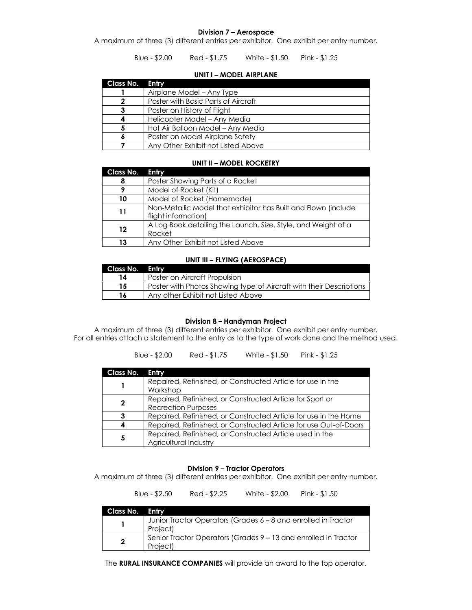#### **Division 7 – Aerospace**

A maximum of three (3) different entries per exhibitor. One exhibit per entry number.

Blue - \$2.00 Red - \$1.75 White - \$1.50 Pink - \$1.25

#### **UNIT I – MODEL AIRPLANE**

| Class No. | Entry                               |
|-----------|-------------------------------------|
|           | Airplane Model - Any Type           |
|           | Poster with Basic Parts of Aircraft |
|           | Poster on History of Flight         |
|           | Helicopter Model - Any Media        |
| 5         | Hot Air Balloon Model – Any Media   |
|           | Poster on Model Airplane Safety     |
|           | Any Other Exhibit not Listed Above  |

#### **UNIT II – MODEL ROCKETRY**

| Class No. | Entry                                                                                 |
|-----------|---------------------------------------------------------------------------------------|
| 8         | Poster Showing Parts of a Rocket                                                      |
|           | Model of Rocket (Kit)                                                                 |
| 10        | Model of Rocket (Homemade)                                                            |
| 11        | Non-Metallic Model that exhibitor has Built and Flown (include<br>flight information) |
| 12        | A Log Book detailing the Launch, Size, Style, and Weight of a<br>Rocket               |
| 13        | Any Other Exhibit not Listed Above                                                    |

#### **UNIT III – FLYING (AEROSPACE)**

| Class No. Entry |                                                                     |
|-----------------|---------------------------------------------------------------------|
| 14              | Poster on Aircraft Propulsion                                       |
| 15              | Poster with Photos Showing type of Aircraft with their Descriptions |
| 16              | Any other Exhibit not Listed Above                                  |

#### **Division 8 – Handyman Project**

A maximum of three (3) different entries per exhibitor. One exhibit per entry number. For all entries attach a statement to the entry as to the type of work done and the method used.

|  | Blue - \$2.00 | Red - \$1.75 | White - \$1.50 | Pink - $$1.25$ |
|--|---------------|--------------|----------------|----------------|
|--|---------------|--------------|----------------|----------------|

| <b>Class No.</b> | <b>Entry</b>                                                                            |
|------------------|-----------------------------------------------------------------------------------------|
|                  | Repaired, Refinished, or Constructed Article for use in the<br>Workshop                 |
| $\mathbf 2$      | Repaired, Refinished, or Constructed Article for Sport or<br><b>Recreation Purposes</b> |
| 3                | Repaired, Refinished, or Constructed Article for use in the Home                        |
| 4                | Repaired, Refinished, or Constructed Article for use Out-of-Doors                       |
| 5                | Repaired, Refinished, or Constructed Article used in the<br>Agricultural Industry       |

#### **Division 9 – Tractor Operators**

A maximum of three (3) different entries per exhibitor. One exhibit per entry number.

Blue - \$2.50 Red - \$2.25 White - \$2.00 Pink - \$1.50

| Class No. Entry |                                                                             |
|-----------------|-----------------------------------------------------------------------------|
|                 | Junior Tractor Operators (Grades 6 - 8 and enrolled in Tractor<br>Project)  |
| $\mathbf{2}$    | Senior Tractor Operators (Grades 9 - 13 and enrolled in Tractor<br>Project) |

The **RURAL INSURANCE COMPANIES** will provide an award to the top operator.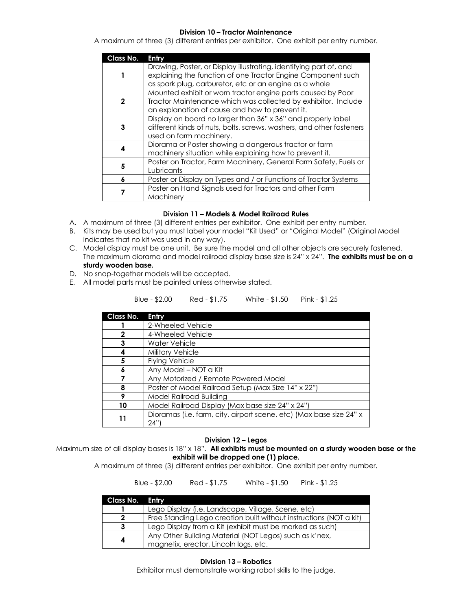## **Division 10 – Tractor Maintenance**

A maximum of three (3) different entries per exhibitor. One exhibit per entry number.

| Class No.    | Entry                                                                                                                                                                                        |  |
|--------------|----------------------------------------------------------------------------------------------------------------------------------------------------------------------------------------------|--|
|              | Drawing, Poster, or Display illustrating, identifying part of, and<br>explaining the function of one Tractor Engine Component such<br>as spark plug, carburetor, etc or an engine as a whole |  |
| $\mathbf{2}$ | Mounted exhibit or worn tractor engine parts caused by Poor<br>Tractor Maintenance which was collected by exhibitor. Include<br>an explanation of cause and how to prevent it.               |  |
| 3            | Display on board no larger than 36" x 36" and properly label<br>different kinds of nuts, bolts, screws, washers, and other fasteners<br>used on farm machinery.                              |  |
| 4            | Diorama or Poster showing a dangerous tractor or farm<br>machinery situation while explaining how to prevent it.                                                                             |  |
| 5            | Poster on Tractor, Farm Machinery, General Farm Safety, Fuels or<br>Lubricants                                                                                                               |  |
| 6            | Poster or Display on Types and / or Functions of Tractor Systems                                                                                                                             |  |
|              | Poster on Hand Signals used for Tractors and other Farm<br>Machinery                                                                                                                         |  |

## **Division 11 – Models & Model Railroad Rules**

- A. A maximum of three (3) different entries per exhibitor. One exhibit per entry number.
- B. Kits may be used but you must label your model "Kit Used" or "Original Model" (Original Model indicates that no kit was used in any way).
- C. Model display must be one unit. Be sure the model and all other objects are securely fastened. The maximum diorama and model railroad display base size is 24" x 24". **The exhibits must be on a sturdy wooden base.**
- D. No snap-together models will be accepted.
- E. All model parts must be painted unless otherwise stated.

| Blue - \$2.00 | Red - \$1.75 | White - \$1.50 | Pink - \$1.25 |
|---------------|--------------|----------------|---------------|
|---------------|--------------|----------------|---------------|

| Class No. | Entry                                                                      |  |
|-----------|----------------------------------------------------------------------------|--|
|           | 2-Wheeled Vehicle                                                          |  |
| 2         | 4-Wheeled Vehicle                                                          |  |
| 3         | Water Vehicle                                                              |  |
|           | <b>Military Vehicle</b>                                                    |  |
| 5         | <b>Flying Vehicle</b>                                                      |  |
|           | Any Model - NOT a Kit                                                      |  |
|           | Any Motorized / Remote Powered Model                                       |  |
|           | Poster of Model Railroad Setup (Max Size 14" x 22")                        |  |
|           | Model Railroad Building                                                    |  |
| 10        | Model Railroad Display (Max base size 24" x 24")                           |  |
| 11        | Dioramas (i.e. farm, city, airport scene, etc) (Max base size 24" x<br>24" |  |

#### **Division 12 – Legos**

Maximum size of all display bases is 18" x 18". **All exhibits must be mounted on a sturdy wooden base or the exhibit will be dropped one (1) place.**

A maximum of three (3) different entries per exhibitor. One exhibit per entry number.

Blue - \$2.00 Red - \$1.75 White - \$1.50 Pink - \$1.25

| Class No. Entry |                                                                    |
|-----------------|--------------------------------------------------------------------|
|                 | Lego Display (i.e. Landscape, Village, Scene, etc)                 |
| າ               | Free Standing Lego creation built without instructions (NOT a kit) |
| 3               | Lego Display from a Kit (exhibit must be marked as such)           |
| 4               | Any Other Building Material (NOT Legos) such as k'nex,             |
|                 | magnetix, erector, Lincoln logs, etc.                              |

**Division 13 – Robotics** Exhibitor must demonstrate working robot skills to the judge.